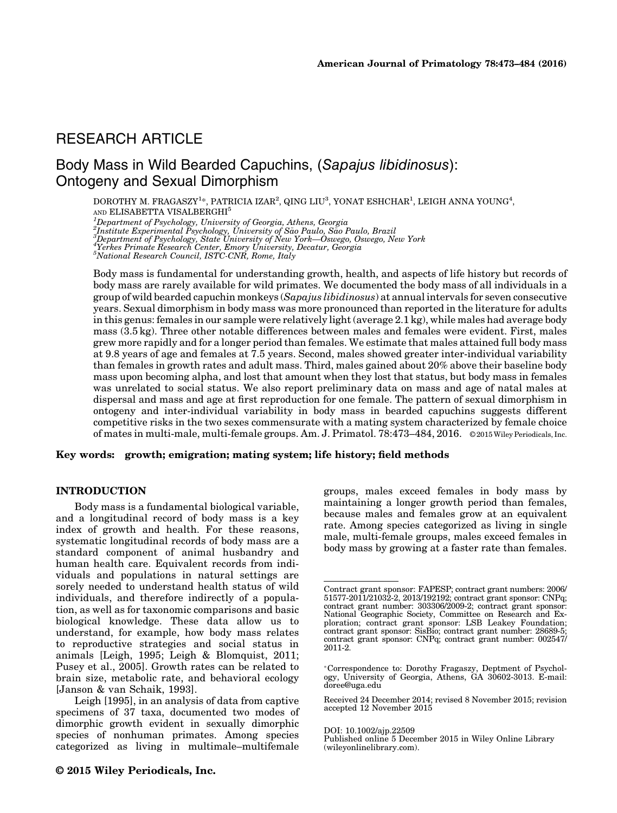# RESEARCH ARTICLE

# Body Mass in Wild Bearded Capuchins, (Sapajus libidinosus): Ontogeny and Sexual Dimorphism

DOROTHY M. FRAGASZY $^{1*}$ , PATRICIA IZAR $^2$ , QING LIU $^3$ , YONAT ESHCHAR $^1$ , LEIGH ANNA YOUNG $^4$ , AND ELISABETTA VISALBERGHI5

<sup>1</sup>Department of Psychology, University of Georgia, Athens, Georgia<br><sup>2</sup>Institute Experimental Psychology, University of São Paulo, São Paulo, Brazil<br><sup>3</sup>Department of Psychology, State University of New York—Oswego, Oswego,

Body mass is fundamental for understanding growth, health, and aspects of life history but records of body mass are rarely available for wild primates. We documented the body mass of all individuals in a group of wild bearded capuchin monkeys (Sapajus libidinosus) at annual intervals for seven consecutive years. Sexual dimorphism in body mass was more pronounced than reported in the literature for adults in this genus: females in our sample were relatively light (average 2.1 kg), while males had average body mass (3.5 kg). Three other notable differences between males and females were evident. First, males grew more rapidly and for a longer period than females. We estimate that males attained full body mass at 9.8 years of age and females at 7.5 years. Second, males showed greater inter-individual variability than females in growth rates and adult mass. Third, males gained about 20% above their baseline body mass upon becoming alpha, and lost that amount when they lost that status, but body mass in females was unrelated to social status. We also report preliminary data on mass and age of natal males at dispersal and mass and age at first reproduction for one female. The pattern of sexual dimorphism in ontogeny and inter-individual variability in body mass in bearded capuchins suggests different competitive risks in the two sexes commensurate with a mating system characterized by female choice of mates in multi-male, multi-female groups. Am. J. Primatol. 78:473–484, 2016. © 2015Wiley Periodicals, Inc.

#### Key words: growth; emigration; mating system; life history; field methods

#### INTRODUCTION

Body mass is a fundamental biological variable, and a longitudinal record of body mass is a key index of growth and health. For these reasons, systematic longitudinal records of body mass are a standard component of animal husbandry and human health care. Equivalent records from individuals and populations in natural settings are sorely needed to understand health status of wild individuals, and therefore indirectly of a population, as well as for taxonomic comparisons and basic biological knowledge. These data allow us to understand, for example, how body mass relates to reproductive strategies and social status in animals [Leigh, 1995; Leigh & Blomquist, 2011; Pusey et al., 2005]. Growth rates can be related to brain size, metabolic rate, and behavioral ecology [Janson & van Schaik, 1993].

Leigh [1995], in an analysis of data from captive specimens of 37 taxa, documented two modes of dimorphic growth evident in sexually dimorphic species of nonhuman primates. Among species categorized as living in multimale–multifemale

groups, males exceed females in body mass by maintaining a longer growth period than females, because males and females grow at an equivalent rate. Among species categorized as living in single male, multi-female groups, males exceed females in body mass by growing at a faster rate than females.

DOI: 10.1002/ajp.22509

Published online 5 December 2015 in Wiley Online Library (wileyonlinelibrary.com).

Contract grant sponsor: FAPESP; contract grant numbers: 2006/ 51577-2011/21032-2, 2013/192192; contract grant sponsor: CNPq; contract grant number: 303306/2009-2; contract grant sponsor: National Geographic Society, Committee on Research and Ex-ploration; contract grant sponsor: LSB Leakey Foundation; contract grant sponsor: SisBio; contract grant number: 28689-5; contract grant sponsor: CNPq; contract grant number: 002547/ 2011-2.

Correspondence to: Dorothy Fragaszy, Deptment of Psychology, University of Georgia, Athens, GA 30602-3013. E-mail: doree@uga.edu

Received 24 December 2014; revised 8 November 2015; revision accepted 12 November 2015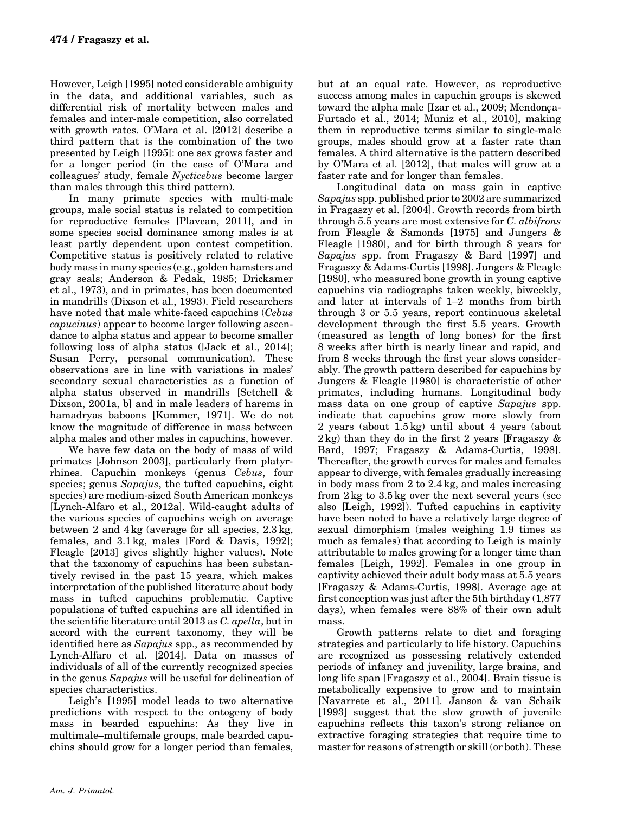However, Leigh [1995] noted considerable ambiguity in the data, and additional variables, such as differential risk of mortality between males and females and inter-male competition, also correlated with growth rates. O'Mara et al. [2012] describe a third pattern that is the combination of the two presented by Leigh [1995]: one sex grows faster and for a longer period (in the case of O'Mara and colleagues' study, female Nycticebus become larger than males through this third pattern).

In many primate species with multi-male groups, male social status is related to competition for reproductive females [Plavcan, 2011], and in some species social dominance among males is at least partly dependent upon contest competition. Competitive status is positively related to relative body mass in many species (e.g., golden hamsters and gray seals; Anderson & Fedak, 1985; Drickamer et al., 1973), and in primates, has been documented in mandrills (Dixson et al., 1993). Field researchers have noted that male white-faced capuchins (Cebus capucinus) appear to become larger following ascendance to alpha status and appear to become smaller following loss of alpha status ([Jack et al., 2014]; Susan Perry, personal communication). These observations are in line with variations in males' secondary sexual characteristics as a function of alpha status observed in mandrills [Setchell & Dixson, 2001a, b] and in male leaders of harems in hamadryas baboons [Kummer, 1971]. We do not know the magnitude of difference in mass between alpha males and other males in capuchins, however.

We have few data on the body of mass of wild primates [Johnson 2003], particularly from platyrrhines. Capuchin monkeys (genus Cebus, four species; genus Sapajus, the tufted capuchins, eight species) are medium-sized South American monkeys [Lynch-Alfaro et al., 2012a]. Wild-caught adults of the various species of capuchins weigh on average between 2 and 4 kg (average for all species, 2.3 kg, females, and 3.1 kg, males [Ford & Davis, 1992]; Fleagle [2013] gives slightly higher values). Note that the taxonomy of capuchins has been substantively revised in the past 15 years, which makes interpretation of the published literature about body mass in tufted capuchins problematic. Captive populations of tufted capuchins are all identified in the scientific literature until 2013 as C. apella, but in accord with the current taxonomy, they will be identified here as Sapajus spp., as recommended by Lynch-Alfaro et al. [2014]. Data on masses of individuals of all of the currently recognized species in the genus Sapajus will be useful for delineation of species characteristics.

Leigh's [1995] model leads to two alternative predictions with respect to the ontogeny of body mass in bearded capuchins: As they live in multimale–multifemale groups, male bearded capuchins should grow for a longer period than females,

but at an equal rate. However, as reproductive success among males in capuchin groups is skewed toward the alpha male [Izar et al., 2009; Mendonça-Furtado et al., 2014; Muniz et al., 2010], making them in reproductive terms similar to single-male groups, males should grow at a faster rate than females. A third alternative is the pattern described by O'Mara et al. [2012], that males will grow at a faster rate and for longer than females.

Longitudinal data on mass gain in captive Sapajus spp. published prior to 2002 are summarized in Fragaszy et al. [2004]. Growth records from birth through 5.5 years are most extensive for C. albifrons from Fleagle & Samonds [1975] and Jungers & Fleagle [1980], and for birth through 8 years for Sapajus spp. from Fragaszy & Bard [1997] and Fragaszy & Adams-Curtis [1998]. Jungers & Fleagle [1980], who measured bone growth in young captive capuchins via radiographs taken weekly, biweekly, and later at intervals of 1–2 months from birth through 3 or 5.5 years, report continuous skeletal development through the first 5.5 years. Growth (measured as length of long bones) for the first 8 weeks after birth is nearly linear and rapid, and from 8 weeks through the first year slows considerably. The growth pattern described for capuchins by Jungers & Fleagle [1980] is characteristic of other primates, including humans. Longitudinal body mass data on one group of captive Sapajus spp. indicate that capuchins grow more slowly from 2 years (about 1.5 kg) until about 4 years (about 2 kg) than they do in the first 2 years [Fragaszy & Bard, 1997; Fragaszy & Adams-Curtis, 1998]. Thereafter, the growth curves for males and females appear to diverge, with females gradually increasing in body mass from 2 to 2.4 kg, and males increasing from 2 kg to 3.5 kg over the next several years (see also [Leigh, 1992]). Tufted capuchins in captivity have been noted to have a relatively large degree of sexual dimorphism (males weighing 1.9 times as much as females) that according to Leigh is mainly attributable to males growing for a longer time than females [Leigh, 1992]. Females in one group in captivity achieved their adult body mass at 5.5 years [Fragaszy & Adams-Curtis, 1998]. Average age at first conception was just after the 5th birthday (1,877 days), when females were 88% of their own adult mass.

Growth patterns relate to diet and foraging strategies and particularly to life history. Capuchins are recognized as possessing relatively extended periods of infancy and juvenility, large brains, and long life span [Fragaszy et al., 2004]. Brain tissue is metabolically expensive to grow and to maintain [Navarrete et al., 2011]. Janson & van Schaik [1993] suggest that the slow growth of juvenile capuchins reflects this taxon's strong reliance on extractive foraging strategies that require time to master for reasons of strength or skill (or both). These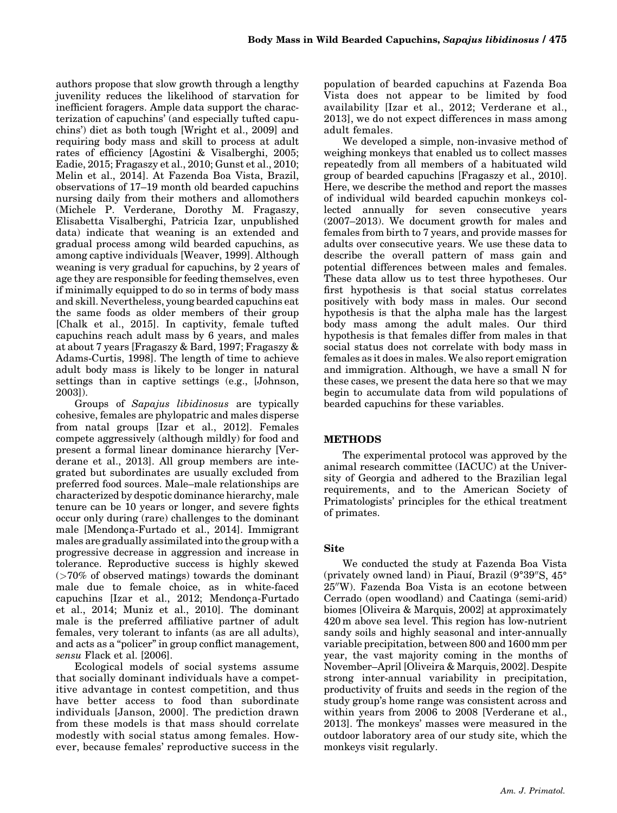authors propose that slow growth through a lengthy juvenility reduces the likelihood of starvation for inefficient foragers. Ample data support the characterization of capuchins' (and especially tufted capuchins') diet as both tough [Wright et al., 2009] and requiring body mass and skill to process at adult rates of efficiency [Agostini & Visalberghi, 2005; Eadie, 2015; Fragaszy et al., 2010; Gunst et al., 2010; Melin et al., 2014]. At Fazenda Boa Vista, Brazil, observations of 17–19 month old bearded capuchins nursing daily from their mothers and allomothers (Michele P. Verderane, Dorothy M. Fragaszy, Elisabetta Visalberghi, Patricia Izar, unpublished data) indicate that weaning is an extended and gradual process among wild bearded capuchins, as among captive individuals [Weaver, 1999]. Although weaning is very gradual for capuchins, by 2 years of age they are responsible for feeding themselves, even if minimally equipped to do so in terms of body mass and skill. Nevertheless, young bearded capuchins eat the same foods as older members of their group [Chalk et al., 2015]. In captivity, female tufted capuchins reach adult mass by 6 years, and males at about 7 years [Fragaszy & Bard, 1997; Fragaszy & Adams-Curtis, 1998]. The length of time to achieve adult body mass is likely to be longer in natural settings than in captive settings (e.g., [Johnson, 2003]).

Groups of Sapajus libidinosus are typically cohesive, females are phylopatric and males disperse from natal groups [Izar et al., 2012]. Females compete aggressively (although mildly) for food and present a formal linear dominance hierarchy [Verderane et al., 2013]. All group members are integrated but subordinates are usually excluded from preferred food sources. Male–male relationships are characterized by despotic dominance hierarchy, male tenure can be 10 years or longer, and severe fights occur only during (rare) challenges to the dominant male [Mendonça-Furtado et al., 2014]. Immigrant males are gradually assimilated into the group with a progressive decrease in aggression and increase in tolerance. Reproductive success is highly skewed (>70% of observed matings) towards the dominant male due to female choice, as in white-faced capuchins [Izar et al., 2012; Mendonça-Furtado et al., 2014; Muniz et al., 2010]. The dominant male is the preferred affiliative partner of adult females, very tolerant to infants (as are all adults), and acts as a "policer" in group conflict management, sensu Flack et al. [2006].

Ecological models of social systems assume that socially dominant individuals have a competitive advantage in contest competition, and thus have better access to food than subordinate individuals [Janson, 2000]. The prediction drawn from these models is that mass should correlate modestly with social status among females. However, because females' reproductive success in the population of bearded capuchins at Fazenda Boa Vista does not appear to be limited by food availability [Izar et al., 2012; Verderane et al., 2013], we do not expect differences in mass among adult females.

We developed a simple, non-invasive method of weighing monkeys that enabled us to collect masses repeatedly from all members of a habituated wild group of bearded capuchins [Fragaszy et al., 2010]. Here, we describe the method and report the masses of individual wild bearded capuchin monkeys collected annually for seven consecutive years (2007–2013). We document growth for males and females from birth to 7 years, and provide masses for adults over consecutive years. We use these data to describe the overall pattern of mass gain and potential differences between males and females. These data allow us to test three hypotheses. Our first hypothesis is that social status correlates positively with body mass in males. Our second hypothesis is that the alpha male has the largest body mass among the adult males. Our third hypothesis is that females differ from males in that social status does not correlate with body mass in females as it does in males. We also report emigration and immigration. Although, we have a small N for these cases, we present the data here so that we may begin to accumulate data from wild populations of bearded capuchins for these variables.

### METHODS

The experimental protocol was approved by the animal research committee (IACUC) at the University of Georgia and adhered to the Brazilian legal requirements, and to the American Society of Primatologists' principles for the ethical treatment of primates.

## Site

We conducted the study at Fazenda Boa Vista (privately owned land) in Piauí, Brazil (9°39″S, 45°  $25''$ W). Fazenda Boa Vista is an ecotone between Cerrado (open woodland) and Caatinga (semi-arid) biomes [Oliveira & Marquis, 2002] at approximately 420 m above sea level. This region has low-nutrient sandy soils and highly seasonal and inter-annually variable precipitation, between 800 and 1600 mm per year, the vast majority coming in the months of November–April [Oliveira & Marquis, 2002]. Despite strong inter-annual variability in precipitation, productivity of fruits and seeds in the region of the study group's home range was consistent across and within years from 2006 to 2008 [Verderane et al., 2013]. The monkeys' masses were measured in the outdoor laboratory area of our study site, which the monkeys visit regularly.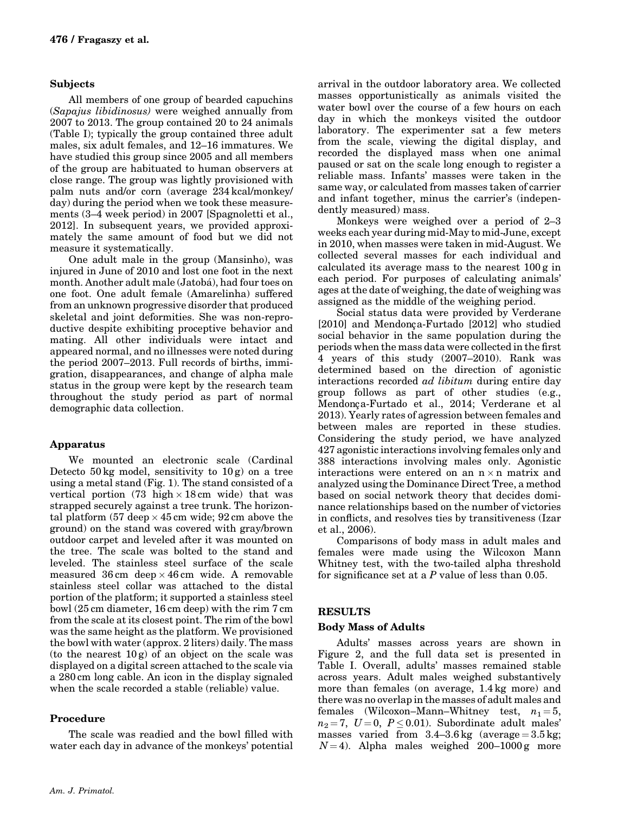### Subjects

All members of one group of bearded capuchins (Sapajus libidinosus) were weighed annually from 2007 to 2013. The group contained 20 to 24 animals (Table I); typically the group contained three adult males, six adult females, and 12–16 immatures. We have studied this group since 2005 and all members of the group are habituated to human observers at close range. The group was lightly provisioned with palm nuts and/or corn (average 234 kcal/monkey/ day) during the period when we took these measurements (3–4 week period) in 2007 [Spagnoletti et al., 2012]. In subsequent years, we provided approximately the same amount of food but we did not measure it systematically.

One adult male in the group (Mansinho), was injured in June of 2010 and lost one foot in the next month. Another adult male (Jatobá), had four toes on one foot. One adult female (Amarelinha) suffered from an unknown progressive disorder that produced skeletal and joint deformities. She was non-reproductive despite exhibiting proceptive behavior and mating. All other individuals were intact and appeared normal, and no illnesses were noted during the period 2007–2013. Full records of births, immigration, disappearances, and change of alpha male status in the group were kept by the research team throughout the study period as part of normal demographic data collection.

### Apparatus

We mounted an electronic scale (Cardinal Detecto  $50 \text{ kg}$  model, sensitivity to  $10 \text{ g}$  on a tree using a metal stand (Fig. 1). The stand consisted of a vertical portion (73 high  $\times$  18 cm wide) that was strapped securely against a tree trunk. The horizontal platform  $(57 \text{ deep} \times 45 \text{ cm} \text{ wide}; 92 \text{ cm} \text{ above the})$ ground) on the stand was covered with gray/brown outdoor carpet and leveled after it was mounted on the tree. The scale was bolted to the stand and leveled. The stainless steel surface of the scale measured  $36 \text{ cm}$  deep  $\times 46 \text{ cm}$  wide. A removable stainless steel collar was attached to the distal portion of the platform; it supported a stainless steel bowl (25 cm diameter, 16 cm deep) with the rim 7 cm from the scale at its closest point. The rim of the bowl was the same height as the platform. We provisioned the bowl with water (approx. 2 liters) daily. The mass (to the nearest  $10 g$ ) of an object on the scale was displayed on a digital screen attached to the scale via a 280 cm long cable. An icon in the display signaled when the scale recorded a stable (reliable) value.

# Procedure

The scale was readied and the bowl filled with water each day in advance of the monkeys' potential arrival in the outdoor laboratory area. We collected masses opportunistically as animals visited the water bowl over the course of a few hours on each day in which the monkeys visited the outdoor laboratory. The experimenter sat a few meters from the scale, viewing the digital display, and recorded the displayed mass when one animal paused or sat on the scale long enough to register a reliable mass. Infants' masses were taken in the same way, or calculated from masses taken of carrier and infant together, minus the carrier's (independently measured) mass.

Monkeys were weighed over a period of 2–3 weeks each year during mid-May to mid-June, except in 2010, when masses were taken in mid-August. We collected several masses for each individual and calculated its average mass to the nearest 100 g in each period. For purposes of calculating animals' ages at the date of weighing, the date of weighing was assigned as the middle of the weighing period.

Social status data were provided by Verderane  $[2010]$  and Mendonça-Furtado  $[2012]$  who studied social behavior in the same population during the periods when the mass data were collected in the first 4 years of this study (2007–2010). Rank was determined based on the direction of agonistic interactions recorded ad libitum during entire day group follows as part of other studies (e.g., Mendonca-Furtado et al., 2014; Verderane et al 2013). Yearly rates of agression between females and between males are reported in these studies. Considering the study period, we have analyzed 427 agonistic interactions involving females only and 388 interactions involving males only. Agonistic interactions were entered on an  $n \times n$  matrix and analyzed using the Dominance Direct Tree, a method based on social network theory that decides dominance relationships based on the number of victories in conflicts, and resolves ties by transitiveness (Izar et al., 2006).

Comparisons of body mass in adult males and females were made using the Wilcoxon Mann Whitney test, with the two-tailed alpha threshold for significance set at a  $P$  value of less than 0.05.

### RESULTS

### Body Mass of Adults

Adults' masses across years are shown in Figure 2, and the full data set is presented in Table I. Overall, adults' masses remained stable across years. Adult males weighed substantively more than females (on average, 1.4 kg more) and there was no overlap in the masses of adult males and females (Wilcoxon–Mann–Whitney test,  $n_1 = 5$ ,  $n_2 = 7$ ,  $U = 0$ ,  $P \le 0.01$ ). Subordinate adult males' masses varied from  $3.4-3.6$  kg (average  $= 3.5$  kg;  $N = 4$ ). Alpha males weighed 200-1000 g more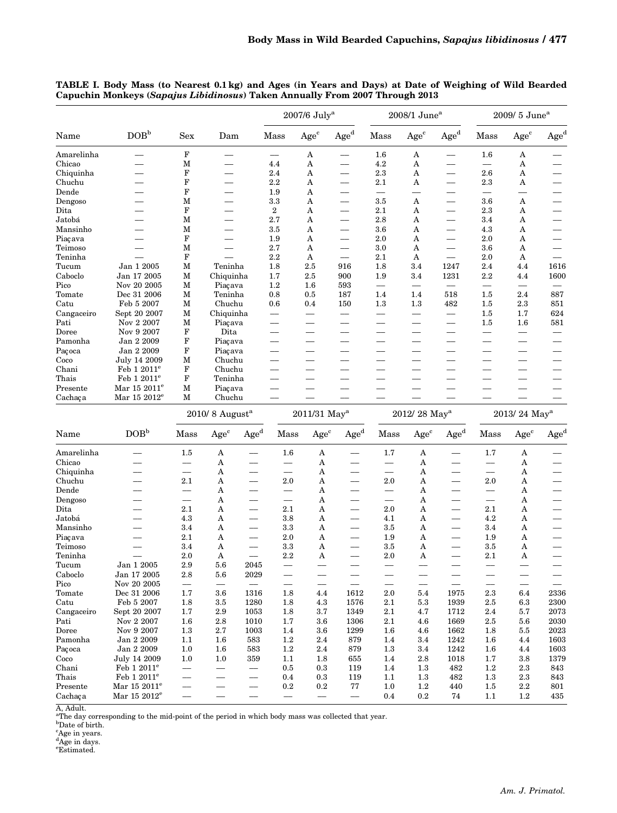| Name       | DOB <sup>b</sup>         | ${\rm Sex}$                  |                          |                          |                          | $2007/6$ $\rm July^a$    |                          |                          | $2008/1$ June <sup>a</sup> |                                  |                                   | 2009/ 5 June <sup>a</sup> |                          |  |
|------------|--------------------------|------------------------------|--------------------------|--------------------------|--------------------------|--------------------------|--------------------------|--------------------------|----------------------------|----------------------------------|-----------------------------------|---------------------------|--------------------------|--|
|            |                          |                              | Dam                      |                          | Mass                     | Age <sup>c</sup>         | $\rm{Age}^d$             | Mass                     | $Age^c$                    | $\rm{Age}^d$                     | Mass                              | Age <sup>c</sup>          | Age <sup>d</sup>         |  |
| Amarelinha |                          | $\mathbf F$                  |                          |                          |                          | A                        | $\qquad \qquad$          | 1.6                      | A                          | $\qquad \qquad \qquad$           | 1.6                               | A                         |                          |  |
| Chicao     |                          | М                            | $\overline{\phantom{0}}$ |                          | 4.4                      | A                        | $\equiv$                 | 4.2                      | A                          |                                  | $\qquad \qquad$                   | A                         |                          |  |
| Chiquinha  |                          | F                            | $\overline{\phantom{0}}$ |                          | 2.4                      | A                        | $\overline{\phantom{0}}$ | $2.3\,$                  | A                          | —                                | $2.6\,$                           | A                         | $\overline{\phantom{0}}$ |  |
| Chuchu     |                          | F                            | $\overline{\phantom{0}}$ |                          | 2.2                      | A                        |                          | $2.1\,$                  | A                          | $\overline{\phantom{0}}$         | 2.3                               | A                         | $\hspace{0.05cm}$        |  |
| Dende      |                          | F                            | $\overline{\phantom{0}}$ |                          | 1.9                      | A                        |                          |                          |                            |                                  | $\qquad \qquad$                   |                           |                          |  |
| Dengoso    |                          | М                            | $\overline{\phantom{0}}$ |                          | 3.3                      | A                        | $\overline{\phantom{0}}$ | 3.5                      | A                          |                                  | 3.6                               | A                         |                          |  |
| Dita       |                          | $\mathbf F$                  | $\overline{\phantom{0}}$ |                          | $\boldsymbol{2}$         | A                        |                          | 2.1                      | A                          | $\overline{\phantom{0}}$         | $2.3\,$                           | A                         | $\hspace{0.05cm}$        |  |
| Jatobá     |                          | М                            | $\overline{\phantom{0}}$ |                          | 2.7                      | A                        | $\overline{\phantom{0}}$ | 2.8                      | A                          | $\overline{\phantom{0}}$         | 3.4                               | A                         | $\hspace{0.05cm}$        |  |
| Mansinho   |                          | М                            | $\overline{\phantom{0}}$ |                          | 3.5                      | A                        | $\overline{\phantom{0}}$ | 3.6                      | A                          | $\overline{\phantom{0}}$         | 4.3                               | A                         |                          |  |
| Piacava    |                          | F                            | $\overline{\phantom{0}}$ |                          | 1.9                      | A                        |                          | 2.0                      | A                          | $\overline{\phantom{0}}$         | 2.0                               | A                         | $\hspace{0.05cm}$        |  |
| Teimoso    |                          | М                            | $\overline{\phantom{0}}$ |                          | 2.7                      | A                        | $\qquad \qquad$          | 3.0                      | A                          | $\overline{\phantom{0}}$         | $3.6\,$                           | A                         | $\hspace{0.05cm}$        |  |
| Teninha    |                          | F                            |                          |                          | $2.2\,$                  | A                        | $\equiv$                 | 2.1                      | A                          | $\equiv$                         | 2.0                               | A                         | $\equiv$                 |  |
| Tucum      | Jan 1 2005               | М                            | Teninha                  |                          | 1.8                      | $2.5\,$                  | 916                      | 1.8                      | 3.4                        | 1247                             | 2.4                               | 4.4                       | 1616                     |  |
| Caboclo    | Jan $17\ 2005$           | м                            | Chiquinha                |                          | 1.7                      | 2.5                      | 900                      | 1.9                      | 3.4                        | 1231                             | 2.2                               | 4.4                       | 1600                     |  |
| Pico       | Nov 20 2005              | М                            | Piaçava                  |                          | $1.2\,$                  | 1.6                      | 593                      |                          |                            | $\overbrace{\phantom{12322111}}$ | $\equiv$                          |                           | $\overline{\phantom{0}}$ |  |
| Tomate     | Dec 31 2006              | М                            | Teninha                  |                          | 0.8                      | 0.5                      | 187                      | 1.4                      | 1.4                        | 518                              | 1.5                               | 2.4                       | 887                      |  |
| Catu       | Feb 5 2007               | М                            | Chuchu                   |                          | 0.6                      | 0.4                      | 150                      | 1.3                      | 1.3                        | 482                              | $1.5\,$                           | $^{2.3}$                  | 851                      |  |
| Cangaceiro | Sept 20 2007             | м                            | Chiquinha                |                          | $\overline{\phantom{0}}$ | $\equiv$                 | $\equiv$                 |                          | $\equiv$                   | $\equiv$                         | 1.5                               | 1.7                       | 624                      |  |
| Pati       | Nov 2 2007               | М                            | Piaçava                  |                          |                          | —                        | $\overline{\phantom{0}}$ | $\overline{\phantom{0}}$ |                            | $\overline{\phantom{0}}$         | $1.5\,$                           | $1.6\,$                   | 581                      |  |
| Doree      | Nov 9 2007               | F                            | Dita                     |                          |                          |                          |                          |                          |                            |                                  | $\overline{\phantom{0}}$          |                           |                          |  |
| Pamonha    | Jan 2 2009               | $\bold{F}$                   | Piaçava                  |                          | $\overline{\phantom{0}}$ | $\overline{\phantom{0}}$ |                          |                          |                            | $\overline{\phantom{0}}$         | $\overline{\phantom{0}}$          |                           | $\qquad \qquad$          |  |
| Paçoca     | Jan 2 2009               | F                            | Piaçava                  |                          |                          | —                        |                          | $\overline{\phantom{0}}$ |                            | ——                               |                                   |                           |                          |  |
| Coco       | July 14 2009             | M                            | Chuchu                   |                          |                          | —                        | $\overline{\phantom{0}}$ |                          |                            | $\overline{\phantom{0}}$         | $\overline{\phantom{0}}$          | —                         |                          |  |
| Chani      | Feb 1 2011 <sup>e</sup>  | F                            | Chuchu                   |                          |                          | $\overline{\phantom{0}}$ |                          |                          |                            |                                  |                                   |                           |                          |  |
| Thais      | Feb 1 2011 <sup>e</sup>  | F                            | Teninha                  |                          |                          | $\overline{\phantom{0}}$ |                          | $\equiv$                 | $\overline{\phantom{0}}$   | $\overline{\phantom{0}}$         | $\overline{\phantom{0}}$          |                           |                          |  |
| Presente   | Mar 15 2011 <sup>e</sup> | М                            | Piaçava                  |                          |                          |                          |                          |                          |                            |                                  |                                   |                           |                          |  |
| Cachaça    | Mar 15 2012 <sup>e</sup> | М                            | Chuchu                   |                          | $\overline{\phantom{0}}$ |                          |                          |                          |                            |                                  |                                   |                           |                          |  |
|            |                          |                              |                          |                          |                          |                          |                          |                          |                            | $\overline{\phantom{0}}$         |                                   |                           |                          |  |
|            |                          | $2010/8$ August <sup>a</sup> |                          |                          | $2011/31$ ${\rm May^a}$  |                          |                          | 2012/28 May <sup>a</sup> |                            |                                  | 2013/24 May <sup>a</sup>          |                           |                          |  |
| Name       | DOB <sup>b</sup>         | Mass                         | Age <sup>c</sup>         | Age <sup>d</sup>         | Mass                     | Age <sup>c</sup>         | Age <sup>d</sup>         | Mass                     | Age <sup>c</sup>           | Age <sup>d</sup>                 | Mass                              | $\rm{Age}^c$              | $\rm{Age}^d$             |  |
| Amarelinha | $\overline{\phantom{0}}$ | 1.5                          | A                        | $\overline{\phantom{0}}$ | $1.6\phantom{0}$         | A                        |                          | 1.7                      | A                          | $\overline{\phantom{0}}$         | 1.7                               | A                         |                          |  |
| Chicao     |                          |                              | A                        | $\overline{\phantom{0}}$ |                          | A                        |                          | $\overline{\phantom{0}}$ | A                          |                                  |                                   | A                         |                          |  |
| Chiquinha  | $\overline{\phantom{0}}$ | $\overline{\phantom{0}}$     | A                        |                          | $\qquad \qquad -$        | A                        |                          | $\qquad \qquad -$        | A                          | $\overline{\phantom{0}}$         | $\qquad \qquad$                   | A                         | $\overline{\phantom{0}}$ |  |
| Chuchu     |                          | 2.1                          | A                        | $\overline{\phantom{0}}$ | $2.0\,$                  | A                        | $\overline{\phantom{0}}$ | 2.0                      | A                          | $\overline{\phantom{0}}$         | $2.0\,$                           | A                         |                          |  |
| Dende      | $\overline{\phantom{0}}$ | $\qquad \qquad$              | A                        | $\overline{\phantom{0}}$ | $\qquad \qquad -$        | A                        | $\overline{\phantom{0}}$ | $\qquad \qquad -$        | A                          | $\overline{\phantom{0}}$         | $\overbrace{\phantom{123221111}}$ | A                         | $\overline{\phantom{0}}$ |  |
| Dengoso    |                          |                              | A                        |                          | $\qquad \qquad -$        | A                        |                          | $\qquad \qquad$          | A                          |                                  |                                   | A                         |                          |  |
| Dita       | $\overline{\phantom{0}}$ | 2.1                          | A                        | $\overline{\phantom{0}}$ | 2.1                      | A                        |                          | 2.0                      | A                          | $\overline{\phantom{0}}$         | 2.1                               | A                         |                          |  |
| Jatobá     |                          | 4.3                          | A                        | $\overline{\phantom{0}}$ | 3.8                      | A                        |                          | 4.1                      | A                          | $\overline{\phantom{0}}$         | 4.2                               | A                         |                          |  |
| Mansinho   | $\overline{\phantom{0}}$ | 3.4                          | A                        | $\overline{\phantom{0}}$ | 3.3                      | A                        | $\qquad \qquad$          | 3.5                      | A                          | $\overline{\phantom{0}}$         | 3.4                               | A                         | $\qquad \qquad$          |  |
| Piaçava    |                          | 2.1                          | A                        | $\qquad \qquad$          | 2.0                      | A                        |                          | 1.9                      | A                          | $\overline{\phantom{0}}$         | 1.9                               | A                         |                          |  |
| Teimoso    | $\qquad \qquad -$        | 3.4                          | A                        | $\qquad \qquad -$        | 3.3                      | A                        |                          | 3.5                      | A                          | $\overline{\phantom{0}}$         | 3.5                               | A                         |                          |  |
| Teninha    |                          | 2.0                          | A                        | $\overline{\phantom{0}}$ | 2.2                      | A                        | $\overline{\phantom{0}}$ | 2.0                      | A                          | $\overline{\phantom{0}}$         | 2.1                               | A                         |                          |  |
| Tucum      | Jan 1 2005               | 2.9                          | 5.6                      | 2045                     | $\qquad \qquad -$        | $\overline{\phantom{0}}$ | $\overline{\phantom{0}}$ | $\hspace{0.05cm}$        | $\overline{\phantom{0}}$   | $\overline{\phantom{0}}$         |                                   | $\qquad \qquad -$         | $\qquad \qquad$          |  |
| Caboclo    | Jan 17 $2005\,$          | $2.8\,$                      | 5.6                      | $\boldsymbol{2029}$      | $-$                      |                          |                          |                          |                            |                                  |                                   |                           |                          |  |
| Pico       | Nov 20 2005              |                              |                          |                          | $\qquad \qquad -$        |                          |                          |                          |                            | $\overline{\phantom{0}}$         |                                   | $\qquad \qquad -$         |                          |  |
| Tomate     | Dec 31 2006              | 1.7                          | 3.6                      | 1316                     | 1.8                      | 4.4                      | 1612                     | 2.0                      | 5.4                        | 1975                             | 2.3                               | 6.4                       | 2336                     |  |
| Catu       | Feb 5 2007               | 1.8                          | $3.5\,$                  | 1280                     | $1.8\,$                  | 4.3                      | 1576                     | 2.1                      | 5.3                        | 1939                             | 2.5                               | $^{6.3}$                  | 2300                     |  |
| Cangaceiro | Sept 20 2007             | 1.7                          | 2.9                      | 1053                     | 1.8                      | 3.7                      | 1349                     | 2.1                      | 4.7                        | 1712                             | 2.4                               | 5.7                       | 2073                     |  |
| Pati       | Nov 2 2007               | 1.6                          | $2.8\,$                  | 1010                     | 1.7                      | 3.6                      | 1306                     | 2.1                      | 4.6                        | 1669                             | 2.5                               | 5.6                       | 2030                     |  |
| Doree      | Nov 9 2007               | 1.3                          | 2.7                      | 1003                     | $1.4\,$                  | 3.6                      | 1299                     | 1.6                      | 4.6                        | 1662                             | 1.8                               | $5.5\,$                   | 2023                     |  |
| Pamonha    | Jan 2 2009               | 1.1                          | $1.6\,$                  | 583                      | 1.2                      | 2.4                      | 879                      | 1.4                      | 3.4                        | 1242                             | $1.6\,$                           | 4.4                       | 1603                     |  |
| Paçoca     | Jan 2 2009               | 1.0                          | $1.6\,$                  | 583                      | 1.2                      | 2.4                      | 879                      | 1.3                      | 3.4                        | 1242                             | $1.6\,$                           | 4.4                       | 1603                     |  |
| Coco       | July 14 2009             | 1.0                          | 1.0                      | 359                      | 1.1                      | 1.8                      | 655                      | 1.4                      | $2.8\,$                    | 1018                             | 1.7                               | $3.8\,$                   | 1379                     |  |
| Chani      | Feb $12011^e$            | $\overline{\phantom{0}}$     | $\overline{\phantom{0}}$ | $\overline{\phantom{0}}$ | $0.5\,$                  | 0.3                      | 119                      | 1.4                      | 1.3                        | 482                              | 1.2                               | 2.3                       | 843                      |  |
| Thais      | Feb 1 2011 <sup>e</sup>  | $\overline{\phantom{0}}$     | $\overline{\phantom{0}}$ | $\overline{\phantom{0}}$ | 0.4                      | $0.3\,$                  | 119                      | 1.1                      | $1.3\,$                    | 482                              | $1.3\,$                           | $^{2.3}$                  | 843                      |  |
| Presente   | Mar $15~2011^{\rm e}$    | —                            | $\overline{\phantom{0}}$ | $\qquad \qquad -$        | 0.2                      | $0.2\,$                  | 77                       | 1.0                      | 1.2                        | 440                              | $1.5\,$                           | $2.2\,$                   | 801                      |  |
| Cachaça    | Mar 15 2012 <sup>e</sup> | $\overline{\phantom{0}}$     | $\overline{\phantom{0}}$ | $\qquad \qquad -$        | $\qquad \qquad -$        | $\overline{\phantom{0}}$ |                          | 0.4                      | $0.2\,$                    | 74                               | $1.1\,$                           | $1.2\,$                   | 435                      |  |

TABLE I. Body Mass (to Nearest 0.1 kg) and Ages (in Years and Days) at Date of Weighing of Wild Bearded Capuchin Monkeys (Sapajus Libidinosus) Taken Annually From 2007 Through 2013

A, Adult. a The day corresponding to the mid-point of the period in which body mass was collected that year. b Date of birth.

<sup>c</sup>Age in years.<br><sup>d</sup>Age in days.<br><sup>e</sup>Estimated.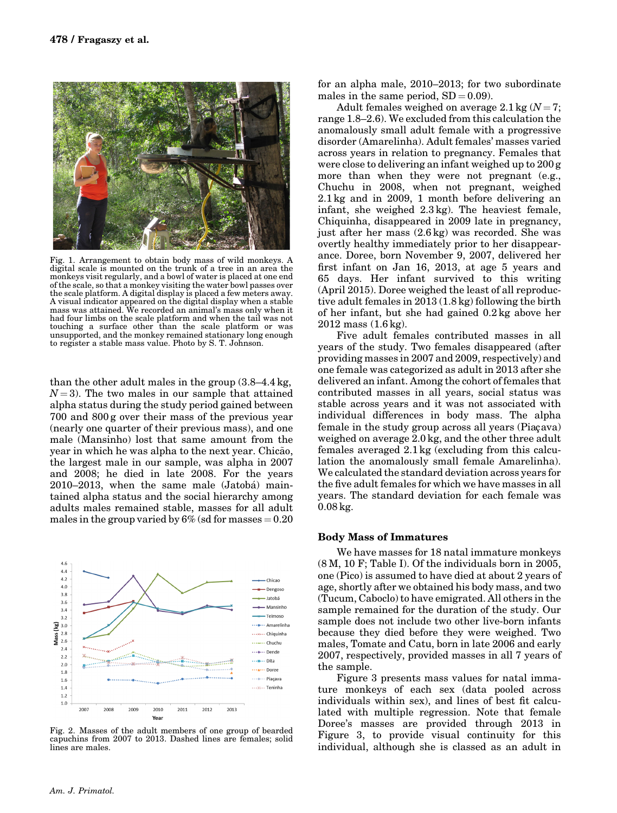

Fig. 1. Arrangement to obtain body mass of wild monkeys. A digital scale is mounted on the trunk of a tree in an area the monkeys visit regularly, and a bowl of water is placed at one end of the scale, so that a monkey visiting the water bowl passes over the scale platform. A digital display is placed a few meters away. A visual indicator appeared on the digital display when a stable mass was attained. We recorded an animal's mass only when it had four limbs on the scale platform and when the tail was not touching a surface other than the scale platform or was unsupported, and the monkey remained stationary long enough to register a stable mass value. Photo by S. T. Johnson.

than the other adult males in the group (3.8–4.4 kg,  $N = 3$ ). The two males in our sample that attained alpha status during the study period gained between 700 and 800 g over their mass of the previous year (nearly one quarter of their previous mass), and one male (Mansinho) lost that same amount from the year in which he was alpha to the next year. Chicao, the largest male in our sample, was alpha in 2007 and 2008; he died in late 2008. For the years 2010–2013, when the same male (Jatobá) maintained alpha status and the social hierarchy among adults males remained stable, masses for all adult males in the group varied by  $6\%$  (sd for masses  $= 0.20$ 



Fig. 2. Masses of the adult members of one group of bearded capuchins from 2007 to 2013. Dashed lines are females; solid lines are males.

for an alpha male, 2010–2013; for two subordinate males in the same period,  $SD = 0.09$ .

Adult females weighed on average  $2.1 \text{ kg}$   $(N = 7;$ range 1.8–2.6). We excluded from this calculation the anomalously small adult female with a progressive disorder (Amarelinha). Adult females' masses varied across years in relation to pregnancy. Females that were close to delivering an infant weighed up to 200 g more than when they were not pregnant (e.g., Chuchu in 2008, when not pregnant, weighed 2.1 kg and in 2009, 1 month before delivering an infant, she weighed 2.3 kg). The heaviest female, Chiquinha, disappeared in 2009 late in pregnancy, just after her mass (2.6 kg) was recorded. She was overtly healthy immediately prior to her disappearance. Doree, born November 9, 2007, delivered her first infant on Jan 16, 2013, at age 5 years and 65 days. Her infant survived to this writing (April 2015). Doree weighed the least of all reproductive adult females in 2013 (1.8 kg) following the birth of her infant, but she had gained 0.2 kg above her 2012 mass (1.6 kg).

Five adult females contributed masses in all years of the study. Two females disappeared (after providing masses in 2007 and 2009, respectively) and one female was categorized as adult in 2013 after she delivered an infant. Among the cohort of females that contributed masses in all years, social status was stable across years and it was not associated with individual differences in body mass. The alpha female in the study group across all years (Piaçava) weighed on average 2.0 kg, and the other three adult females averaged 2.1 kg (excluding from this calculation the anomalously small female Amarelinha). We calculated the standard deviation across years for the five adult females for which we have masses in all years. The standard deviation for each female was 0.08 kg.

#### Body Mass of Immatures

We have masses for 18 natal immature monkeys (8 M, 10 F; Table I). Of the individuals born in 2005, one (Pico) is assumed to have died at about 2 years of age, shortly after we obtained his body mass, and two (Tucum, Caboclo) to have emigrated. All others in the sample remained for the duration of the study. Our sample does not include two other live-born infants because they died before they were weighed. Two males, Tomate and Catu, born in late 2006 and early 2007, respectively, provided masses in all 7 years of the sample.

Figure 3 presents mass values for natal immature monkeys of each sex (data pooled across individuals within sex), and lines of best fit calculated with multiple regression. Note that female Doree's masses are provided through 2013 in Figure 3, to provide visual continuity for this individual, although she is classed as an adult in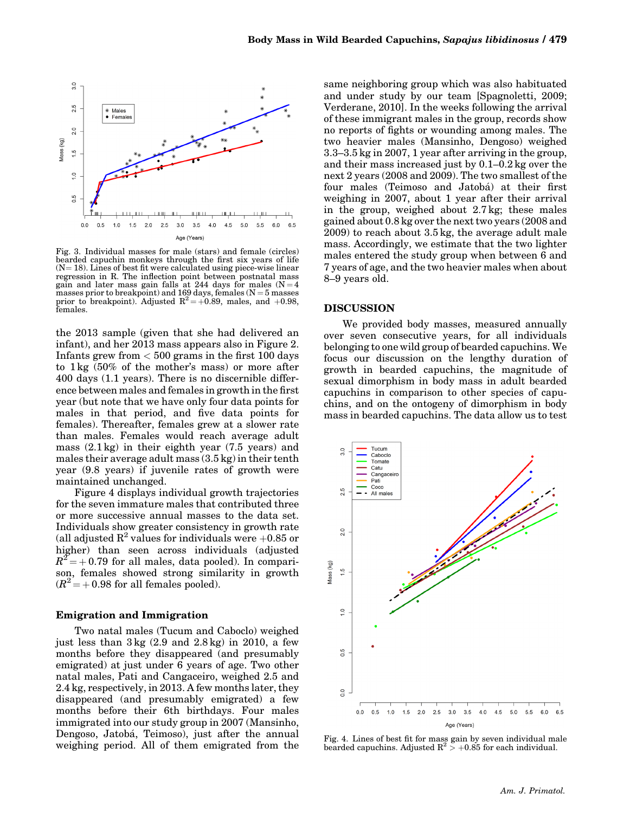

Fig. 3. Individual masses for male (stars) and female (circles) bearded capuchin monkeys through the first six years of life  $(N = 18)$ . Lines of best fit were calculated using piece-wise linear regression in R. The inflection point between postnatal mass gain and later mass gain falls at 244 days for males  $(N = 4)$ masses prior to breakpoint) and 169 days, females (N = 5 masses<br>prior to breakpoint). Adjusted  $R^2 = +0.89$ , males, and +0.98,<br>females.

the 2013 sample (given that she had delivered an infant), and her 2013 mass appears also in Figure 2. Infants grew from  $< 500$  grams in the first 100 days to 1 kg (50% of the mother's mass) or more after 400 days (1.1 years). There is no discernible difference between males and females in growth in the first year (but note that we have only four data points for males in that period, and five data points for females). Thereafter, females grew at a slower rate than males. Females would reach average adult mass (2.1 kg) in their eighth year (7.5 years) and males their average adult mass (3.5 kg) in their tenth year (9.8 years) if juvenile rates of growth were maintained unchanged.

Figure 4 displays individual growth trajectories for the seven immature males that contributed three or more successive annual masses to the data set. Individuals show greater consistency in growth rate (all adjusted  $R^2$  values for individuals were  $+0.85$  or higher) than seen across individuals (adjusted  $R^2 = +0.79$  for all males, data pooled). In comparison, females showed strong similarity in growth  $(R^2 = +0.98$  for all females pooled).

#### Emigration and Immigration

Two natal males (Tucum and Caboclo) weighed just less than  $3 \text{ kg}$  (2.9 and  $2.8 \text{ kg}$ ) in 2010, a few months before they disappeared (and presumably emigrated) at just under 6 years of age. Two other natal males, Pati and Cangaceiro, weighed 2.5 and 2.4 kg, respectively, in 2013. A few months later, they disappeared (and presumably emigrated) a few months before their 6th birthdays. Four males immigrated into our study group in 2007 (Mansinho, Dengoso, Jatobá, Teimoso), just after the annual weighing period. All of them emigrated from the

same neighboring group which was also habituated and under study by our team [Spagnoletti, 2009; Verderane, 2010]. In the weeks following the arrival of these immigrant males in the group, records show no reports of fights or wounding among males. The two heavier males (Mansinho, Dengoso) weighed 3.3–3.5 kg in 2007, 1 year after arriving in the group, and their mass increased just by 0.1–0.2 kg over the next 2 years (2008 and 2009). The two smallest of the four males (Teimoso and Jatobá) at their first weighing in 2007, about 1 year after their arrival in the group, weighed about 2.7 kg; these males gained about 0.8 kg over the next two years (2008 and 2009) to reach about 3.5 kg, the average adult male mass. Accordingly, we estimate that the two lighter males entered the study group when between 6 and 7 years of age, and the two heavier males when about 8–9 years old.

#### DISCUSSION

We provided body masses, measured annually over seven consecutive years, for all individuals belonging to one wild group of bearded capuchins. We focus our discussion on the lengthy duration of growth in bearded capuchins, the magnitude of sexual dimorphism in body mass in adult bearded capuchins in comparison to other species of capuchins, and on the ontogeny of dimorphism in body mass in bearded capuchins. The data allow us to test



Fig. 4. Lines of best fit for mass gain by seven individual male bearded capuchins. Adjusted  $R^2 > +0.85$  for each individual.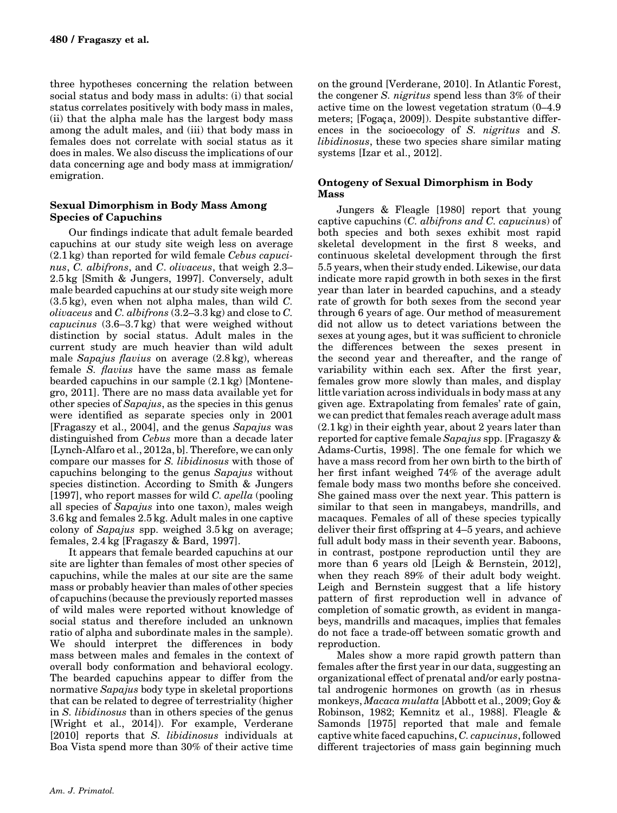three hypotheses concerning the relation between social status and body mass in adults: (i) that social status correlates positively with body mass in males, (ii) that the alpha male has the largest body mass among the adult males, and (iii) that body mass in females does not correlate with social status as it does in males. We also discuss the implications of our data concerning age and body mass at immigration/ emigration.

#### Sexual Dimorphism in Body Mass Among Species of Capuchins

Our findings indicate that adult female bearded capuchins at our study site weigh less on average (2.1 kg) than reported for wild female Cebus capucinus, C. albifrons, and C. olivaceus, that weigh 2.3– 2.5 kg [Smith & Jungers, 1997]. Conversely, adult male bearded capuchins at our study site weigh more  $(3.5 \text{ kg})$ , even when not alpha males, than wild C. olivaceus and C. albifrons (3.2–3.3 kg) and close to C. capucinus (3.6–3.7 kg) that were weighed without distinction by social status. Adult males in the current study are much heavier than wild adult male Sapajus flavius on average (2.8 kg), whereas female S. flavius have the same mass as female bearded capuchins in our sample (2.1 kg) [Montenegro, 2011]. There are no mass data available yet for other species of Sapajus, as the species in this genus were identified as separate species only in 2001 [Fragaszy et al., 2004], and the genus Sapajus was distinguished from Cebus more than a decade later [Lynch-Alfaro et al., 2012a, b]. Therefore, we can only compare our masses for S. libidinosus with those of capuchins belonging to the genus Sapajus without species distinction. According to Smith & Jungers [1997], who report masses for wild  $C$ . apella (pooling) all species of Sapajus into one taxon), males weigh 3.6 kg and females 2.5 kg. Adult males in one captive colony of Sapajus spp. weighed 3.5 kg on average; females, 2.4 kg [Fragaszy & Bard, 1997].

It appears that female bearded capuchins at our site are lighter than females of most other species of capuchins, while the males at our site are the same mass or probably heavier than males of other species of capuchins (because the previously reported masses of wild males were reported without knowledge of social status and therefore included an unknown ratio of alpha and subordinate males in the sample). We should interpret the differences in body mass between males and females in the context of overall body conformation and behavioral ecology. The bearded capuchins appear to differ from the normative Sapajus body type in skeletal proportions that can be related to degree of terrestriality (higher in S. libidinosus than in others species of the genus [Wright et al., 2014]). For example, Verderane [2010] reports that S. *libidinosus* individuals at Boa Vista spend more than 30% of their active time

on the ground [Verderane, 2010]. In Atlantic Forest, the congener S. nigritus spend less than 3% of their active time on the lowest vegetation stratum (0–4.9 meters; [Fogaça, 2009]). Despite substantive differences in the socioecology of S. nigritus and S. libidinosus, these two species share similar mating systems [Izar et al., 2012].

## Ontogeny of Sexual Dimorphism in Body Mass

Jungers & Fleagle [1980] report that young captive capuchins  $(C.$  albifrons and  $C.$  capucinus) of both species and both sexes exhibit most rapid skeletal development in the first 8 weeks, and continuous skeletal development through the first 5.5 years, when their study ended. Likewise, our data indicate more rapid growth in both sexes in the first year than later in bearded capuchins, and a steady rate of growth for both sexes from the second year through 6 years of age. Our method of measurement did not allow us to detect variations between the sexes at young ages, but it was sufficient to chronicle the differences between the sexes present in the second year and thereafter, and the range of variability within each sex. After the first year, females grow more slowly than males, and display little variation across individuals in body mass at any given age. Extrapolating from females' rate of gain, we can predict that females reach average adult mass (2.1 kg) in their eighth year, about 2 years later than reported for captive female Sapajus spp. [Fragaszy & Adams-Curtis, 1998]. The one female for which we have a mass record from her own birth to the birth of her first infant weighed 74% of the average adult female body mass two months before she conceived. She gained mass over the next year. This pattern is similar to that seen in mangabeys, mandrills, and macaques. Females of all of these species typically deliver their first offspring at 4–5 years, and achieve full adult body mass in their seventh year. Baboons, in contrast, postpone reproduction until they are more than 6 years old [Leigh & Bernstein, 2012], when they reach 89% of their adult body weight. Leigh and Bernstein suggest that a life history pattern of first reproduction well in advance of completion of somatic growth, as evident in mangabeys, mandrills and macaques, implies that females do not face a trade-off between somatic growth and reproduction.

Males show a more rapid growth pattern than females after the first year in our data, suggesting an organizational effect of prenatal and/or early postnatal androgenic hormones on growth (as in rhesus monkeys, Macaca mulatta [Abbott et al., 2009; Goy & Robinson, 1982; Kemnitz et al., 1988]. Fleagle & Samonds [1975] reported that male and female captive white faced capuchins, C. capucinus, followed different trajectories of mass gain beginning much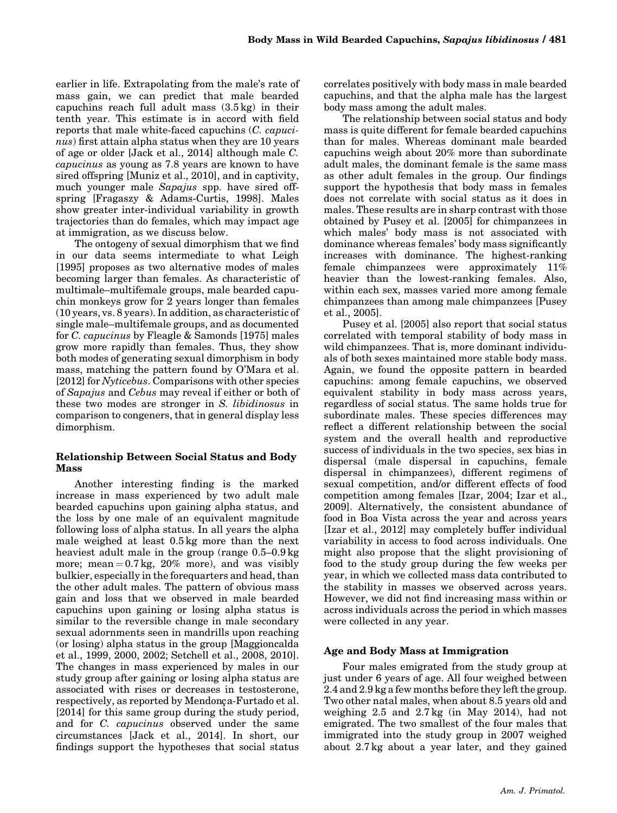earlier in life. Extrapolating from the male's rate of mass gain, we can predict that male bearded capuchins reach full adult mass (3.5 kg) in their tenth year. This estimate is in accord with field reports that male white-faced capuchins (C. capucinus) first attain alpha status when they are 10 years of age or older [Jack et al., 2014] although male C. capucinus as young as 7.8 years are known to have sired offspring [Muniz et al., 2010], and in captivity, much younger male Sapajus spp. have sired offspring [Fragaszy & Adams-Curtis, 1998]. Males show greater inter-individual variability in growth trajectories than do females, which may impact age at immigration, as we discuss below.

The ontogeny of sexual dimorphism that we find in our data seems intermediate to what Leigh [1995] proposes as two alternative modes of males becoming larger than females. As characteristic of multimale–multifemale groups, male bearded capuchin monkeys grow for 2 years longer than females (10 years, vs. 8 years). In addition, as characteristic of single male–multifemale groups, and as documented for C. capucinus by Fleagle & Samonds [1975] males grow more rapidly than females. Thus, they show both modes of generating sexual dimorphism in body mass, matching the pattern found by O'Mara et al. [2012] for Nyticebus. Comparisons with other species of Sapajus and Cebus may reveal if either or both of these two modes are stronger in S. libidinosus in comparison to congeners, that in general display less dimorphism.

### Relationship Between Social Status and Body Mass

Another interesting finding is the marked increase in mass experienced by two adult male bearded capuchins upon gaining alpha status, and the loss by one male of an equivalent magnitude following loss of alpha status. In all years the alpha male weighed at least 0.5 kg more than the next heaviest adult male in the group (range 0.5–0.9 kg more; mean  $= 0.7 \text{ kg}$ , 20% more), and was visibly bulkier, especially in the forequarters and head, than the other adult males. The pattern of obvious mass gain and loss that we observed in male bearded capuchins upon gaining or losing alpha status is similar to the reversible change in male secondary sexual adornments seen in mandrills upon reaching (or losing) alpha status in the group [Maggioncalda et al., 1999, 2000, 2002; Setchell et al., 2008, 2010]. The changes in mass experienced by males in our study group after gaining or losing alpha status are associated with rises or decreases in testosterone, respectively, as reported by Mendonça-Furtado et al. [2014] for this same group during the study period, and for C. capucinus observed under the same circumstances [Jack et al., 2014]. In short, our findings support the hypotheses that social status

correlates positively with body mass in male bearded capuchins, and that the alpha male has the largest body mass among the adult males.

The relationship between social status and body mass is quite different for female bearded capuchins than for males. Whereas dominant male bearded capuchins weigh about 20% more than subordinate adult males, the dominant female is the same mass as other adult females in the group. Our findings support the hypothesis that body mass in females does not correlate with social status as it does in males. These results are in sharp contrast with those obtained by Pusey et al. [2005] for chimpanzees in which males' body mass is not associated with dominance whereas females' body mass significantly increases with dominance. The highest-ranking female chimpanzees were approximately 11% heavier than the lowest-ranking females. Also, within each sex, masses varied more among female chimpanzees than among male chimpanzees [Pusey et al., 2005].

Pusey et al. [2005] also report that social status correlated with temporal stability of body mass in wild chimpanzees. That is, more dominant individuals of both sexes maintained more stable body mass. Again, we found the opposite pattern in bearded capuchins: among female capuchins, we observed equivalent stability in body mass across years, regardless of social status. The same holds true for subordinate males. These species differences may reflect a different relationship between the social system and the overall health and reproductive success of individuals in the two species, sex bias in dispersal (male dispersal in capuchins, female dispersal in chimpanzees), different regimens of sexual competition, and/or different effects of food competition among females [Izar, 2004; Izar et al., 2009]. Alternatively, the consistent abundance of food in Boa Vista across the year and across years [Izar et al., 2012] may completely buffer individual variability in access to food across individuals. One might also propose that the slight provisioning of food to the study group during the few weeks per year, in which we collected mass data contributed to the stability in masses we observed across years. However, we did not find increasing mass within or across individuals across the period in which masses were collected in any year.

### Age and Body Mass at Immigration

Four males emigrated from the study group at just under 6 years of age. All four weighed between 2.4 and 2.9 kg a few months before they left the group. Two other natal males, when about 8.5 years old and weighing 2.5 and 2.7 kg (in May 2014), had not emigrated. The two smallest of the four males that immigrated into the study group in 2007 weighed about 2.7 kg about a year later, and they gained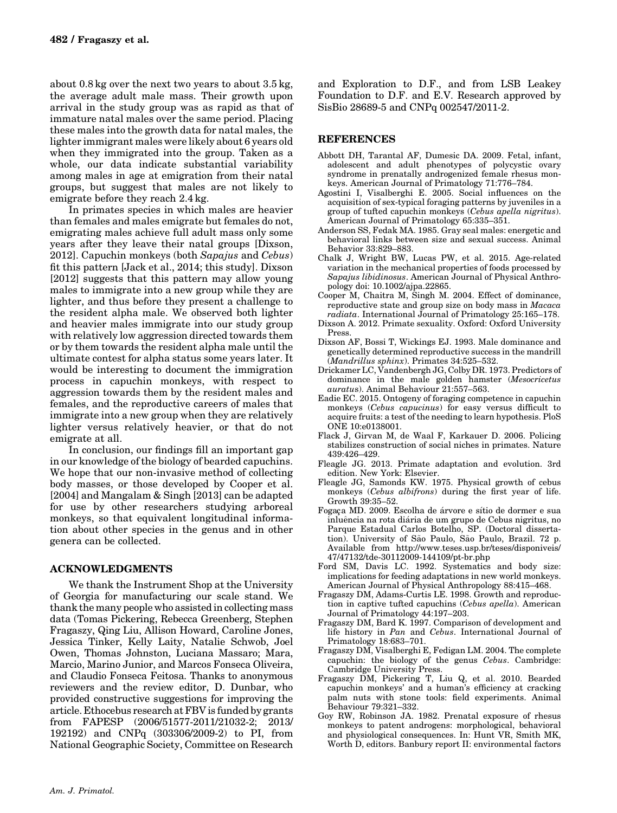about 0.8 kg over the next two years to about 3.5 kg, the average adult male mass. Their growth upon arrival in the study group was as rapid as that of immature natal males over the same period. Placing these males into the growth data for natal males, the lighter immigrant males were likely about 6 years old when they immigrated into the group. Taken as a whole, our data indicate substantial variability among males in age at emigration from their natal groups, but suggest that males are not likely to emigrate before they reach 2.4 kg.

In primates species in which males are heavier than females and males emigrate but females do not, emigrating males achieve full adult mass only some years after they leave their natal groups [Dixson, 2012]. Capuchin monkeys (both Sapajus and Cebus) fit this pattern [Jack et al., 2014; this study]. Dixson [2012] suggests that this pattern may allow young males to immigrate into a new group while they are lighter, and thus before they present a challenge to the resident alpha male. We observed both lighter and heavier males immigrate into our study group with relatively low aggression directed towards them or by them towards the resident alpha male until the ultimate contest for alpha status some years later. It would be interesting to document the immigration process in capuchin monkeys, with respect to aggression towards them by the resident males and females, and the reproductive careers of males that immigrate into a new group when they are relatively lighter versus relatively heavier, or that do not emigrate at all.

In conclusion, our findings fill an important gap in our knowledge of the biology of bearded capuchins. We hope that our non-invasive method of collecting body masses, or those developed by Cooper et al. [2004] and Mangalam & Singh [2013] can be adapted for use by other researchers studying arboreal monkeys, so that equivalent longitudinal information about other species in the genus and in other genera can be collected.

### ACKNOWLEDGMENTS

We thank the Instrument Shop at the University of Georgia for manufacturing our scale stand. We thank the many people who assisted in collecting mass data (Tomas Pickering, Rebecca Greenberg, Stephen Fragaszy, Qing Liu, Allison Howard, Caroline Jones, Jessica Tinker, Kelly Laity, Natalie Schwob, Joel Owen, Thomas Johnston, Luciana Massaro; Mara, Marcio, Marino Junior, and Marcos Fonseca Oliveira, and Claudio Fonseca Feitosa. Thanks to anonymous reviewers and the review editor, D. Dunbar, who provided constructive suggestions for improving the article. Ethocebus research at FBV is funded by grants from FAPESP (2006/51577-2011/21032-2; 2013/ 192192) and CNPq (303306/2009-2) to PI, from National Geographic Society, Committee on Research

and Exploration to D.F., and from LSB Leakey Foundation to D.F. and E.V. Research approved by SisBio 28689-5 and CNPq 002547/2011-2.

### **REFERENCES**

- Abbott DH, Tarantal AF, Dumesic DA. 2009. Fetal, infant, adolescent and adult phenotypes of polycystic ovary syndrome in prenatally androgenized female rhesus monkeys. American Journal of Primatology 71:776–784.
- Agostini I, Visalberghi E. 2005. Social influences on the acquisition of sex-typical foraging patterns by juveniles in a group of tufted capuchin monkeys (Cebus apella nigritus). American Journal of Primatology 65:335–351.
- Anderson SS, Fedak MA. 1985. Gray seal males: energetic and behavioral links between size and sexual success. Animal Behavior 33:829–883.
- Chalk J, Wright BW, Lucas PW, et al. 2015. Age-related variation in the mechanical properties of foods processed by Sapajus libidinosus. American Journal of Physical Anthropology doi: 10.1002/ajpa.22865.
- Cooper M, Chaitra M, Singh M. 2004. Effect of dominance, reproductive state and group size on body mass in Macaca radiata. International Journal of Primatology 25:165–178.
- Dixson A. 2012. Primate sexuality. Oxford: Oxford University Press.
- Dixson AF, Bossi T, Wickings EJ. 1993. Male dominance and genetically determined reproductive success in the mandrill (Mandrillus sphinx). Primates 34:525–532.
- Drickamer LC, Vandenbergh JG, Colby DR. 1973. Predictors of dominance in the male golden hamster (Mesocricetus auratus). Animal Behaviour 21:557–563.
- Eadie EC. 2015. Ontogeny of foraging competence in capuchin monkeys (Cebus capucinus) for easy versus difficult to acquire fruits: a test of the needing to learn hypothesis. PloS ONE 10:e0138001.
- Flack J, Girvan M, de Waal F, Karkauer D. 2006. Policing stabilizes construction of social niches in primates. Nature 439:426–429.
- Fleagle JG. 2013. Primate adaptation and evolution. 3rd edition. New York: Elsevier.
- Fleagle JG, Samonds KW. 1975. Physical growth of cebus monkeys (Cebus albifrons) during the first year of life. Growth 39:35–52.
- Fogaça MD. 2009. Escolha de árvore e sítio de dormer e sua inluência na rota diária de um grupo de Cebus nigritus, no Parque Estadual Carlos Botelho, SP. (Doctoral dissertation). University of São Paulo, São Paulo, Brazil. 72 p. Available from [http://www.teses.usp.br/teses/disponiveis/](http://www.teses.usp.br/teses/disponiveis/47/47132/tde-30112009-144109/pt-br.php) [47/47132/tde-30112009-144109/pt-br.php](http://www.teses.usp.br/teses/disponiveis/47/47132/tde-30112009-144109/pt-br.php)
- Ford SM, Davis LC. 1992. Systematics and body size: implications for feeding adaptations in new world monkeys. American Journal of Physical Anthropology 88:415–468.
- Fragaszy DM, Adams-Curtis LE. 1998. Growth and reproduction in captive tufted capuchins (Cebus apella). American Journal of Primatology 44:197–203.
- Fragaszy DM, Bard K. 1997. Comparison of development and life history in Pan and Cebus. International Journal of Primatology 18:683–701.
- Fragaszy DM, Visalberghi E, Fedigan LM. 2004. The complete capuchin: the biology of the genus Cebus. Cambridge: Cambridge University Press.
- Fragaszy DM, Pickering T, Liu Q, et al. 2010. Bearded capuchin monkeys' and a human's efficiency at cracking palm nuts with stone tools: field experiments. Animal Behaviour 79:321–332.
- Goy RW, Robinson JA. 1982. Prenatal exposure of rhesus monkeys to patent androgens: morphological, behavioral and physiological consequences. In: Hunt VR, Smith MK, Worth D, editors. Banbury report II: environmental factors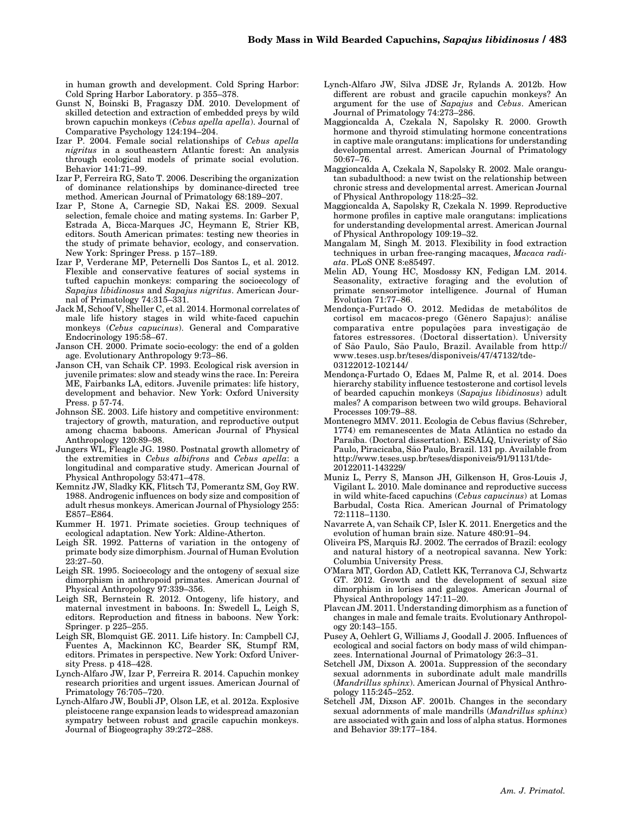in human growth and development. Cold Spring Harbor: Cold Spring Harbor Laboratory. p 355–378.

- Gunst N, Boinski B, Fragaszy DM. 2010. Development of skilled detection and extraction of embedded preys by wild brown capuchin monkeys (Cebus apella apella). Journal of Comparative Psychology 124:194–204.
- Izar P. 2004. Female social relationships of Cebus apella nigritus in a southeastern Atlantic forest: An analysis through ecological models of primate social evolution. Behavior 141:71–99.
- Izar P, Ferreira RG, Sato T. 2006. Describing the organization of dominance relationships by dominance-directed tree method. American Journal of Primatology 68:189–207.
- Izar P, Stone A, Carnegie SD, Nakai ES. 2009. Sexual selection, female choice and mating systems. In: Garber P, Estrada A, Bicca-Marques JC, Heymann E, Strier KB, editors. South American primates: testing new theories in the study of primate behavior, ecology, and conservation. New York: Springer Press. p 157–189.
- Izar P, Verderane MP, Peternelli Dos Santos L, et al. 2012. Flexible and conservative features of social systems in tufted capuchin monkeys: comparing the socioecology of Sapajus libidinosus and Sapajus nigritus. American Journal of Primatology 74:315–331.
- Jack M, Schoof V, Sheller C, et al. 2014. Hormonal correlates of male life history stages in wild white-faced capuchin monkeys (Cebus capucinus). General and Comparative Endocrinology 195:58–67.
- Janson CH. 2000. Primate socio-ecology: the end of a golden age. Evolutionary Anthropology 9:73–86.
- Janson CH, van Schaik CP. 1993. Ecological risk aversion in juvenile primates: slow and steady wins the race. In: Pereira ME, Fairbanks LA, editors. Juvenile primates: life history, development and behavior. New York: Oxford University Press. p 57-74.
- Johnson SE. 2003. Life history and competitive environment: trajectory of growth, maturation, and reproductive output among chacma baboons. American Journal of Physical Anthropology 120:89–98.
- Jungers WL, Fleagle JG. 1980. Postnatal growth allometry of the extremities in Cebus albifrons and Cebus apella: a longitudinal and comparative study. American Journal of Physical Anthropology 53:471–478.
- Kemnitz JW, Sladky KK, Flitsch TJ, Pomerantz SM, Goy RW. 1988. Androgenic influences on body size and composition of adult rhesus monkeys. American Journal of Physiology 255: E857–E864.
- Kummer H. 1971. Primate societies. Group techniques of ecological adaptation. New York: Aldine-Atherton.
- Leigh SR. 1992. Patterns of variation in the ontogeny of primate body size dimorphism. Journal of Human Evolution 23:27–50.
- Leigh SR. 1995. Socioecology and the ontogeny of sexual size dimorphism in anthropoid primates. American Journal of Physical Anthropology 97:339–356.
- Leigh SR, Bernstein R. 2012. Ontogeny, life history, and maternal investment in baboons. In: Swedell L, Leigh S, editors. Reproduction and fitness in baboons. New York: Springer. p 225–255.
- Leigh SR, Blomquist GE. 2011. Life history. In: Campbell CJ, Fuentes A, Mackinnon KC, Bearder SK, Stumpf RM, editors. Primates in perspective. New York: Oxford University Press. p 418–428.
- Lynch-Alfaro JW, Izar P, Ferreira R. 2014. Capuchin monkey research priorities and urgent issues. American Journal of Primatology 76:705–720.
- Lynch-Alfaro JW, Boubli JP, Olson LE, et al. 2012a. Explosive pleistocene range expansion leads to widespread amazonian sympatry between robust and gracile capuchin monkeys. Journal of Biogeography 39:272–288.
- Lynch-Alfaro JW, Silva JDSE Jr, Rylands A. 2012b. How different are robust and gracile capuchin monkeys? An argument for the use of Sapajus and Cebus. American Journal of Primatology 74:273–286.
- Maggioncalda A, Czekala N, Sapolsky R. 2000. Growth hormone and thyroid stimulating hormone concentrations in captive male orangutans: implications for understanding developmental arrest. American Journal of Primatology 50:67–76.
- Maggioncalda A, Czekala N, Sapolsky R. 2002. Male orangutan subadulthood: a new twist on the relationship between chronic stress and developmental arrest. American Journal of Physical Anthropology 118:25–32.
- Maggioncalda A, Sapolsky R, Czekala N. 1999. Reproductive hormone profiles in captive male orangutans: implications for understanding developmental arrest. American Journal of Physical Anthropology 109:19–32.
- Mangalam M, Singh M. 2013. Flexibility in food extraction techniques in urban free-ranging macaques, Macaca radiata. PLoS ONE 8:e85497.
- Melin AD, Young HC, Mosdossy KN, Fedigan LM. 2014. Seasonality, extractive foraging and the evolution of primate sensorimotor intelligence. Journal of Human Evolution 71:77–86.
- Mendonça-Furtado O. 2012. Medidas de metabólitos de cortisol em macacos-prego (Gênero Sapajus): análise comparativa entre populações para investigação de fatores estressores. (Doctoral dissertation). University of São Paulo, São Paulo, Brazil. Available from [http://](http://www.teses.usp.br/teses/disponiveis/47/47132/tde-03122012-102144/) [www.teses.usp.br/teses/disponiveis/47/47132/tde-](http://www.teses.usp.br/teses/disponiveis/47/47132/tde-03122012-102144/)[03122012-102144/](http://www.teses.usp.br/teses/disponiveis/47/47132/tde-03122012-102144/)
- Mendonça-Furtado O, Edaes M, Palme R, et al. 2014. Does hierarchy stability influence testosterone and cortisol levels of bearded capuchin monkeys (Sapajus libidinosus) adult males? A comparison between two wild groups. Behavioral Processes 109:79–88.
- Montenegro MMV. 2011. Ecologia de Cebus flavius (Schreber, 1774) em remanescentes de Mata Atlântica no estado da Paraíba. (Doctoral dissertation). ESALQ, Univeristy of São Paulo, Piracicaba, São Paulo, Brazil. 131 pp. Available from [http://www.teses.usp.br/teses/disponiveis/91/91131/tde-](http://www.teses.usp.br/teses/disponiveis/91/91131/tde-20122011-143229/)[20122011-143229/](http://www.teses.usp.br/teses/disponiveis/91/91131/tde-20122011-143229/)
- Muniz L, Perry S, Manson JH, Gilkenson H, Gros-Louis J, Vigilant L. 2010. Male dominance and reproductive success in wild white-faced capuchins (Cebus capucinus) at Lomas Barbudal, Costa Rica. American Journal of Primatology 72:1118–1130.
- Navarrete A, van Schaik CP, Isler K. 2011. Energetics and the evolution of human brain size. Nature 480:91–94.
- Oliveira PS, Marquis RJ. 2002. The cerrados of Brazil: ecology and natural history of a neotropical savanna. New York: Columbia University Press.
- O'Mara MT, Gordon AD, Catlett KK, Terranova CJ, Schwartz GT. 2012. Growth and the development of sexual size dimorphism in lorises and galagos. American Journal of Physical Anthropology 147:11–20.
- Plavcan JM. 2011. Understanding dimorphism as a function of changes in male and female traits. Evolutionary Anthropology 20:143–155.
- Pusey A, Oehlert G, Williams J, Goodall J. 2005. Influences of ecological and social factors on body mass of wild chimpanzees. International Journal of Primatology 26:3–31.
- Setchell JM, Dixson A. 2001a. Suppression of the secondary sexual adornments in subordinate adult male mandrills (Mandrillus sphinx). American Journal of Physical Anthropology 115:245–252.
- Setchell JM, Dixson AF. 2001b. Changes in the secondary sexual adornments of male mandrills (*Mandrillus sphinx*) are associated with gain and loss of alpha status. Hormones and Behavior 39:177–184.